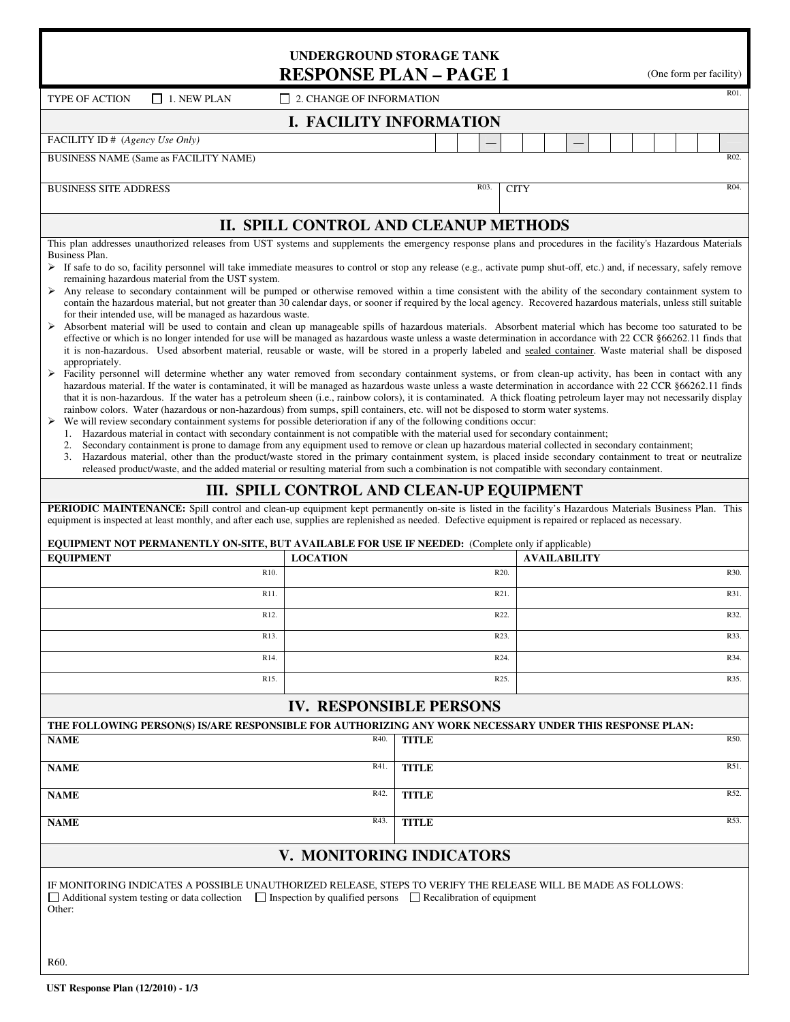|                                                                                                                                                                                                                                                                                                                                                                                                                                                                                                                                                                                                                                                                                                                                                                                                                                                                                                                                                                                                                                                                                                                                                                                                                                                                                                                                                                                                                                                                                                                                                                                                                                                                                                                                                                                                                                                                                                                                                                                                                                                                                                                                                           | <b>UNDERGROUND STORAGE TANK</b><br><b>RESPONSE PLAN - PAGE 1</b> |                      | (One form per facility)                                                                                                                       |      |  |
|-----------------------------------------------------------------------------------------------------------------------------------------------------------------------------------------------------------------------------------------------------------------------------------------------------------------------------------------------------------------------------------------------------------------------------------------------------------------------------------------------------------------------------------------------------------------------------------------------------------------------------------------------------------------------------------------------------------------------------------------------------------------------------------------------------------------------------------------------------------------------------------------------------------------------------------------------------------------------------------------------------------------------------------------------------------------------------------------------------------------------------------------------------------------------------------------------------------------------------------------------------------------------------------------------------------------------------------------------------------------------------------------------------------------------------------------------------------------------------------------------------------------------------------------------------------------------------------------------------------------------------------------------------------------------------------------------------------------------------------------------------------------------------------------------------------------------------------------------------------------------------------------------------------------------------------------------------------------------------------------------------------------------------------------------------------------------------------------------------------------------------------------------------------|------------------------------------------------------------------|----------------------|-----------------------------------------------------------------------------------------------------------------------------------------------|------|--|
| <b>TYPE OF ACTION</b><br>$\Box$ 1. NEW PLAN                                                                                                                                                                                                                                                                                                                                                                                                                                                                                                                                                                                                                                                                                                                                                                                                                                                                                                                                                                                                                                                                                                                                                                                                                                                                                                                                                                                                                                                                                                                                                                                                                                                                                                                                                                                                                                                                                                                                                                                                                                                                                                               | $\Box$ 2. CHANGE OF INFORMATION                                  |                      |                                                                                                                                               | R01. |  |
|                                                                                                                                                                                                                                                                                                                                                                                                                                                                                                                                                                                                                                                                                                                                                                                                                                                                                                                                                                                                                                                                                                                                                                                                                                                                                                                                                                                                                                                                                                                                                                                                                                                                                                                                                                                                                                                                                                                                                                                                                                                                                                                                                           | <b>I. FACILITY INFORMATION</b>                                   |                      |                                                                                                                                               |      |  |
| FACILITY ID # (Agency Use Only)                                                                                                                                                                                                                                                                                                                                                                                                                                                                                                                                                                                                                                                                                                                                                                                                                                                                                                                                                                                                                                                                                                                                                                                                                                                                                                                                                                                                                                                                                                                                                                                                                                                                                                                                                                                                                                                                                                                                                                                                                                                                                                                           |                                                                  |                      |                                                                                                                                               |      |  |
| BUSINESS NAME (Same as FACILITY NAME)                                                                                                                                                                                                                                                                                                                                                                                                                                                                                                                                                                                                                                                                                                                                                                                                                                                                                                                                                                                                                                                                                                                                                                                                                                                                                                                                                                                                                                                                                                                                                                                                                                                                                                                                                                                                                                                                                                                                                                                                                                                                                                                     |                                                                  |                      |                                                                                                                                               | R02. |  |
| <b>BUSINESS SITE ADDRESS</b>                                                                                                                                                                                                                                                                                                                                                                                                                                                                                                                                                                                                                                                                                                                                                                                                                                                                                                                                                                                                                                                                                                                                                                                                                                                                                                                                                                                                                                                                                                                                                                                                                                                                                                                                                                                                                                                                                                                                                                                                                                                                                                                              |                                                                  | R03                  | <b>CITY</b>                                                                                                                                   | R04. |  |
|                                                                                                                                                                                                                                                                                                                                                                                                                                                                                                                                                                                                                                                                                                                                                                                                                                                                                                                                                                                                                                                                                                                                                                                                                                                                                                                                                                                                                                                                                                                                                                                                                                                                                                                                                                                                                                                                                                                                                                                                                                                                                                                                                           | II. SPILL CONTROL AND CLEANUP METHODS                            |                      |                                                                                                                                               |      |  |
| Any release to secondary containment will be pumped or otherwise removed within a time consistent with the ability of the secondary containment system to<br>➤<br>contain the hazardous material, but not greater than 30 calendar days, or sooner if required by the local agency. Recovered hazardous materials, unless still suitable<br>for their intended use, will be managed as hazardous waste.<br>> Absorbent material will be used to contain and clean up manageable spills of hazardous materials. Absorbent material which has become too saturated to be<br>effective or which is no longer intended for use will be managed as hazardous waste unless a waste determination in accordance with 22 CCR §66262.11 finds that<br>it is non-hazardous. Used absorbent material, reusable or waste, will be stored in a properly labeled and sealed container. Waste material shall be disposed<br>appropriately.<br>> Facility personnel will determine whether any water removed from secondary containment systems, or from clean-up activity, has been in contact with any<br>hazardous material. If the water is contaminated, it will be managed as hazardous waste unless a waste determination in accordance with 22 CCR §66262.11 finds<br>that it is non-hazardous. If the water has a petroleum sheen (i.e., rainbow colors), it is contaminated. A thick floating petroleum layer may not necessarily display<br>rainbow colors. Water (hazardous or non-hazardous) from sumps, spill containers, etc. will not be disposed to storm water systems.<br>We will review secondary containment systems for possible deterioration if any of the following conditions occur:<br>≻<br>1. Hazardous material in contact with secondary containment is not compatible with the material used for secondary containment;<br>2.<br>3. Hazardous material, other than the product/waste stored in the primary containment system, is placed inside secondary containment to treat or neutralize<br>released product/waste, and the added material or resulting material from such a combination is not compatible with secondary containment. |                                                                  |                      | Secondary containment is prone to damage from any equipment used to remove or clean up hazardous material collected in secondary containment; |      |  |
|                                                                                                                                                                                                                                                                                                                                                                                                                                                                                                                                                                                                                                                                                                                                                                                                                                                                                                                                                                                                                                                                                                                                                                                                                                                                                                                                                                                                                                                                                                                                                                                                                                                                                                                                                                                                                                                                                                                                                                                                                                                                                                                                                           | III. SPILL CONTROL AND CLEAN-UP EQUIPMENT                        |                      |                                                                                                                                               |      |  |
| PERIODIC MAINTENANCE: Spill control and clean-up equipment kept permanently on-site is listed in the facility's Hazardous Materials Business Plan. This<br>equipment is inspected at least monthly, and after each use, supplies are replenished as needed. Defective equipment is repaired or replaced as necessary.                                                                                                                                                                                                                                                                                                                                                                                                                                                                                                                                                                                                                                                                                                                                                                                                                                                                                                                                                                                                                                                                                                                                                                                                                                                                                                                                                                                                                                                                                                                                                                                                                                                                                                                                                                                                                                     |                                                                  |                      |                                                                                                                                               |      |  |
| <b>EQUIPMENT NOT PERMANENTLY ON-SITE, BUT AVAILABLE FOR USE IF NEEDED:</b> (Complete only if applicable)<br><b>EQUIPMENT</b>                                                                                                                                                                                                                                                                                                                                                                                                                                                                                                                                                                                                                                                                                                                                                                                                                                                                                                                                                                                                                                                                                                                                                                                                                                                                                                                                                                                                                                                                                                                                                                                                                                                                                                                                                                                                                                                                                                                                                                                                                              | <b>LOCATION</b>                                                  |                      | <b>AVAILABILITY</b>                                                                                                                           |      |  |
| R <sub>10</sub> .                                                                                                                                                                                                                                                                                                                                                                                                                                                                                                                                                                                                                                                                                                                                                                                                                                                                                                                                                                                                                                                                                                                                                                                                                                                                                                                                                                                                                                                                                                                                                                                                                                                                                                                                                                                                                                                                                                                                                                                                                                                                                                                                         |                                                                  |                      | R20.                                                                                                                                          | R30. |  |
| R11.                                                                                                                                                                                                                                                                                                                                                                                                                                                                                                                                                                                                                                                                                                                                                                                                                                                                                                                                                                                                                                                                                                                                                                                                                                                                                                                                                                                                                                                                                                                                                                                                                                                                                                                                                                                                                                                                                                                                                                                                                                                                                                                                                      |                                                                  |                      | R21.                                                                                                                                          | R31. |  |
| R <sub>12</sub> .                                                                                                                                                                                                                                                                                                                                                                                                                                                                                                                                                                                                                                                                                                                                                                                                                                                                                                                                                                                                                                                                                                                                                                                                                                                                                                                                                                                                                                                                                                                                                                                                                                                                                                                                                                                                                                                                                                                                                                                                                                                                                                                                         |                                                                  |                      | R22.                                                                                                                                          | R32. |  |
| R13.                                                                                                                                                                                                                                                                                                                                                                                                                                                                                                                                                                                                                                                                                                                                                                                                                                                                                                                                                                                                                                                                                                                                                                                                                                                                                                                                                                                                                                                                                                                                                                                                                                                                                                                                                                                                                                                                                                                                                                                                                                                                                                                                                      |                                                                  |                      | R23.                                                                                                                                          | R33. |  |
| R14.                                                                                                                                                                                                                                                                                                                                                                                                                                                                                                                                                                                                                                                                                                                                                                                                                                                                                                                                                                                                                                                                                                                                                                                                                                                                                                                                                                                                                                                                                                                                                                                                                                                                                                                                                                                                                                                                                                                                                                                                                                                                                                                                                      |                                                                  |                      | R24.                                                                                                                                          | R34. |  |
| R <sub>15</sub> .                                                                                                                                                                                                                                                                                                                                                                                                                                                                                                                                                                                                                                                                                                                                                                                                                                                                                                                                                                                                                                                                                                                                                                                                                                                                                                                                                                                                                                                                                                                                                                                                                                                                                                                                                                                                                                                                                                                                                                                                                                                                                                                                         |                                                                  |                      | R <sub>25</sub> .                                                                                                                             | R35. |  |
|                                                                                                                                                                                                                                                                                                                                                                                                                                                                                                                                                                                                                                                                                                                                                                                                                                                                                                                                                                                                                                                                                                                                                                                                                                                                                                                                                                                                                                                                                                                                                                                                                                                                                                                                                                                                                                                                                                                                                                                                                                                                                                                                                           | <b>IV. RESPONSIBLE PERSONS</b>                                   |                      |                                                                                                                                               |      |  |
| THE FOLLOWING PERSON(S) IS/ARE RESPONSIBLE FOR AUTHORIZING ANY WORK NECESSARY UNDER THIS RESPONSE PLAN:                                                                                                                                                                                                                                                                                                                                                                                                                                                                                                                                                                                                                                                                                                                                                                                                                                                                                                                                                                                                                                                                                                                                                                                                                                                                                                                                                                                                                                                                                                                                                                                                                                                                                                                                                                                                                                                                                                                                                                                                                                                   |                                                                  |                      |                                                                                                                                               |      |  |
| <b>NAME</b>                                                                                                                                                                                                                                                                                                                                                                                                                                                                                                                                                                                                                                                                                                                                                                                                                                                                                                                                                                                                                                                                                                                                                                                                                                                                                                                                                                                                                                                                                                                                                                                                                                                                                                                                                                                                                                                                                                                                                                                                                                                                                                                                               | R40.                                                             | <b>TITLE</b>         |                                                                                                                                               | R50. |  |
| R41.<br><b>NAME</b>                                                                                                                                                                                                                                                                                                                                                                                                                                                                                                                                                                                                                                                                                                                                                                                                                                                                                                                                                                                                                                                                                                                                                                                                                                                                                                                                                                                                                                                                                                                                                                                                                                                                                                                                                                                                                                                                                                                                                                                                                                                                                                                                       |                                                                  | R51.<br><b>TITLE</b> |                                                                                                                                               |      |  |
| R42.<br><b>NAME</b>                                                                                                                                                                                                                                                                                                                                                                                                                                                                                                                                                                                                                                                                                                                                                                                                                                                                                                                                                                                                                                                                                                                                                                                                                                                                                                                                                                                                                                                                                                                                                                                                                                                                                                                                                                                                                                                                                                                                                                                                                                                                                                                                       |                                                                  | <b>TITLE</b>         |                                                                                                                                               | R52. |  |
| <b>NAME</b>                                                                                                                                                                                                                                                                                                                                                                                                                                                                                                                                                                                                                                                                                                                                                                                                                                                                                                                                                                                                                                                                                                                                                                                                                                                                                                                                                                                                                                                                                                                                                                                                                                                                                                                                                                                                                                                                                                                                                                                                                                                                                                                                               | R43.                                                             | <b>TITLE</b>         |                                                                                                                                               | R53. |  |
|                                                                                                                                                                                                                                                                                                                                                                                                                                                                                                                                                                                                                                                                                                                                                                                                                                                                                                                                                                                                                                                                                                                                                                                                                                                                                                                                                                                                                                                                                                                                                                                                                                                                                                                                                                                                                                                                                                                                                                                                                                                                                                                                                           | V. MONITORING INDICATORS                                         |                      |                                                                                                                                               |      |  |
| IF MONITORING INDICATES A POSSIBLE UNAUTHORIZED RELEASE, STEPS TO VERIFY THE RELEASE WILL BE MADE AS FOLLOWS:                                                                                                                                                                                                                                                                                                                                                                                                                                                                                                                                                                                                                                                                                                                                                                                                                                                                                                                                                                                                                                                                                                                                                                                                                                                                                                                                                                                                                                                                                                                                                                                                                                                                                                                                                                                                                                                                                                                                                                                                                                             |                                                                  |                      |                                                                                                                                               |      |  |

□ Additional system testing or data collection □ Inspection by qualified persons □ Recalibration of equipment Other: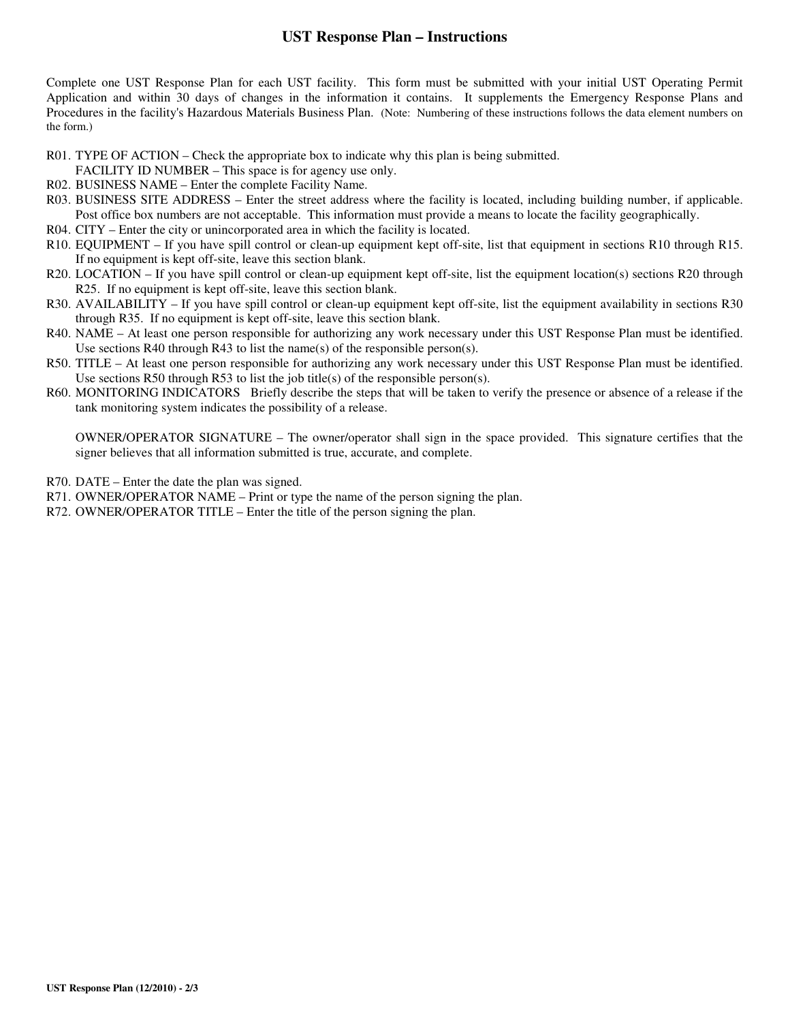## **UST Response Plan – Instructions**

Complete one UST Response Plan for each UST facility. This form must be submitted with your initial UST Operating Permit Application and within 30 days of changes in the information it contains. It supplements the Emergency Response Plans and Procedures in the facility's Hazardous Materials Business Plan. (Note: Numbering of these instructions follows the data element numbers on the form.)

- R01. TYPE OF ACTION Check the appropriate box to indicate why this plan is being submitted.
- FACILITY ID NUMBER This space is for agency use only.
- R02. BUSINESS NAME Enter the complete Facility Name.
- R03. BUSINESS SITE ADDRESS Enter the street address where the facility is located, including building number, if applicable. Post office box numbers are not acceptable. This information must provide a means to locate the facility geographically.
- R04. CITY Enter the city or unincorporated area in which the facility is located.
- R10. EQUIPMENT If you have spill control or clean-up equipment kept off-site, list that equipment in sections R10 through R15. If no equipment is kept off-site, leave this section blank.
- R20. LOCATION If you have spill control or clean-up equipment kept off-site, list the equipment location(s) sections R20 through R25. If no equipment is kept off-site, leave this section blank.
- R30. AVAILABILITY If you have spill control or clean-up equipment kept off-site, list the equipment availability in sections R30 through R35. If no equipment is kept off-site, leave this section blank.
- R40. NAME At least one person responsible for authorizing any work necessary under this UST Response Plan must be identified. Use sections R40 through R43 to list the name(s) of the responsible person(s).
- R50. TITLE At least one person responsible for authorizing any work necessary under this UST Response Plan must be identified. Use sections R50 through R53 to list the job title(s) of the responsible person(s).
- R60. MONITORING INDICATORS Briefly describe the steps that will be taken to verify the presence or absence of a release if the tank monitoring system indicates the possibility of a release.

OWNER/OPERATOR SIGNATURE – The owner/operator shall sign in the space provided. This signature certifies that the signer believes that all information submitted is true, accurate, and complete.

- R70. DATE Enter the date the plan was signed.
- R71. OWNER/OPERATOR NAME Print or type the name of the person signing the plan.
- R72. OWNER/OPERATOR TITLE Enter the title of the person signing the plan.